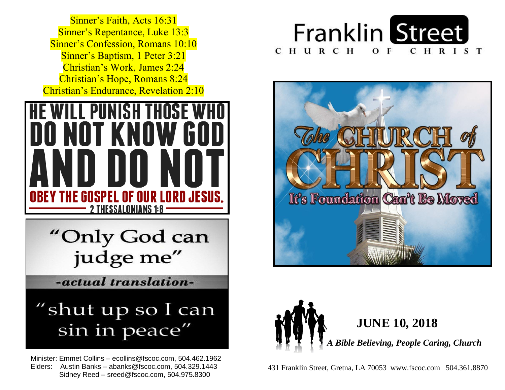**Sinner's Repentance, Luke 13:3 Sinner's Confession, Romans 10:10 Sinner's Baptism, 1 Peter 3:21**  Christian's Work, James 2:24  Christian's Hope, Romans 8:24  Christian's Endurance, Revelation 2:10 Sinner's Faith, Acts 16:31



"Only God can judge me"

-actual translation-

## "shut up so I can sin in peace"

 Minister: Emmet Collins – ecollins@fscoc.com, 504.462.1962  Elders: Austin Banks – abanks@fscoc.com, 504.329.1443 Sidney Reed – sreed@fscoc.com, 504.975.8300







 431 Franklin Street, Gretna, LA 70053 www.fscoc.com 504.361.8870